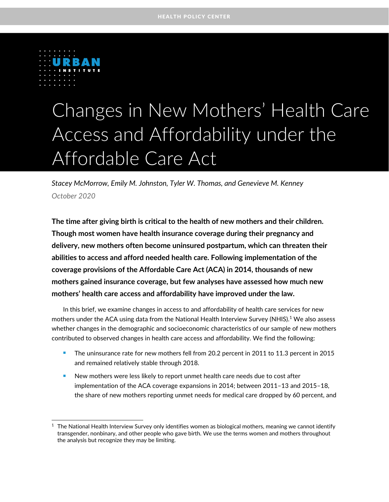

# Changes in New Mothers' Health Care Access and Affordability under the Affordable Care Act

*Stacey McMorrow, Emily M. Johnston, Tyler W. Thomas, and Genevieve M. Kenney* **Subtitle Here in Title Case** *October 2020*

**The time after giving birth is critical to the health of new mothers and their children. Though most women have health insurance coverage during their pregnancy and delivery, new mothers often become uninsured postpartum, which can threaten their abilities to access and afford needed health care. Following implementation of the coverage provisions of the Affordable Care Act (ACA) in 2014, thousands of new mothers gained insurance coverage, but few analyses have assessed how much new mothers' health care access and affordability have improved under the law.** 

In this brief, we examine changes in access to and affordability of health care services for new mothers under the ACA using data from the National Health Interview Survey (NHIS). <sup>1</sup> We also assess whether changes in the demographic and socioeconomic characteristics of our sample of new mothers contributed to observed changes in health care access and affordability. We find the following:

- <sup>◼</sup> The uninsurance rate for new mothers fell from 20.2 percent in 2011 to 11.3 percent in 2015 and remained relatively stable through 2018.
- New mothers were less likely to report unmet health care needs due to cost after implementation of the ACA coverage expansions in 2014; between 2011–13 and 2015–18, the share of new mothers reporting unmet needs for medical care dropped by 60 percent, and

<sup>1</sup> The National Health Interview Survey only identifies women as biological mothers, meaning we cannot identify transgender, nonbinary, and other people who gave birth. We use the terms women and mothers throughout the analysis but recognize they may be limiting.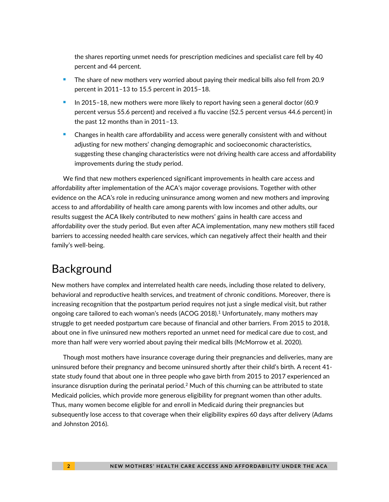the shares reporting unmet needs for prescription medicines and specialist care fell by 40 percent and 44 percent.

- The share of new mothers very worried about paying their medical bills also fell from 20.9 percent in 2011–13 to 15.5 percent in 2015–18.
- <sup>◼</sup> In 2015–18, new mothers were more likely to report having seen a general doctor (60.9 percent versus 55.6 percent) and received a flu vaccine (52.5 percent versus 44.6 percent) in the past 12 months than in 2011–13.
- <sup>◼</sup> Changes in health care affordability and access were generally consistent with and without adjusting for new mothers' changing demographic and socioeconomic characteristics, suggesting these changing characteristics were not driving health care access and affordability improvements during the study period.

We find that new mothers experienced significant improvements in health care access and affordability after implementation of the ACA's major coverage provisions. Together with other evidence on the ACA's role in reducing uninsurance among women and new mothers and improving access to and affordability of health care among parents with low incomes and other adults, our results suggest the ACA likely contributed to new mothers' gains in health care access and affordability over the study period. But even after ACA implementation, many new mothers still faced barriers to accessing needed health care services, which can negatively affect their health and their family's well-being.

# Background

New mothers have complex and interrelated health care needs, including those related to delivery, behavioral and reproductive health services, and treatment of chronic conditions. Moreover, there is increasing recognition that the postpartum period requires not just a single medical visit, but rather ongoing care tailored to each woman's needs (ACOG 2018). <sup>1</sup> Unfortunately, many mothers may struggle to get needed postpartum care because of financial and other barriers. From 2015 to 2018, about one in five uninsured new mothers reported an unmet need for medical care due to cost, and more than half were very worried about paying their medical bills (McMorrow et al. 2020).

Though most mothers have insurance coverage during their pregnancies and deliveries, many are uninsured before their pregnancy and become uninsured shortly after their child's birth. A recent 41 state study found that about one in three people who gave birth from 2015 to 2017 experienced an insurance disruption during the perinatal period.<sup>2</sup> Much of this churning can be attributed to state Medicaid policies, which provide more generous eligibility for pregnant women than other adults. Thus, many women become eligible for and enroll in Medicaid during their pregnancies but subsequently lose access to that coverage when their eligibility expires 60 days after delivery (Adams and Johnston 2016).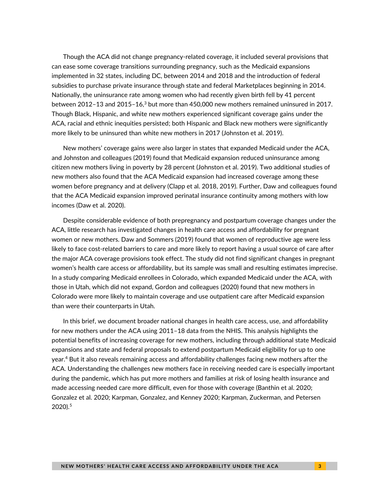Though the ACA did not change pregnancy-related coverage, it included several provisions that can ease some coverage transitions surrounding pregnancy, such as the Medicaid expansions implemented in 32 states, including DC, between 2014 and 2018 and the introduction of federal subsidies to purchase private insurance through state and federal Marketplaces beginning in 2014. Nationally, the uninsurance rate among women who had recently given birth fell by 41 percent between 2012–13 and 2015–16, $^3$  but more than 450,000 new mothers remained uninsured in 2017. Though Black, Hispanic, and white new mothers experienced significant coverage gains under the ACA, racial and ethnic inequities persisted; both Hispanic and Black new mothers were significantly more likely to be uninsured than white new mothers in 2017 (Johnston et al. 2019).

New mothers' coverage gains were also larger in states that expanded Medicaid under the ACA, and Johnston and colleagues (2019) found that Medicaid expansion reduced uninsurance among citizen new mothers living in poverty by 28 percent (Johnston et al. 2019). Two additional studies of new mothers also found that the ACA Medicaid expansion had increased coverage among these women before pregnancy and at delivery (Clapp et al. 2018, 2019). Further, Daw and colleagues found that the ACA Medicaid expansion improved perinatal insurance continuity among mothers with low incomes (Daw et al. 2020).

Despite considerable evidence of both prepregnancy and postpartum coverage changes under the ACA, little research has investigated changes in health care access and affordability for pregnant women or new mothers. Daw and Sommers (2019) found that women of reproductive age were less likely to face cost-related barriers to care and more likely to report having a usual source of care after the major ACA coverage provisions took effect. The study did not find significant changes in pregnant women's health care access or affordability, but its sample was small and resulting estimates imprecise. In a study comparing Medicaid enrollees in Colorado, which expanded Medicaid under the ACA, with those in Utah, which did not expand, Gordon and colleagues (2020) found that new mothers in Colorado were more likely to maintain coverage and use outpatient care after Medicaid expansion than were their counterparts in Utah.

In this brief, we document broader national changes in health care access, use, and affordability for new mothers under the ACA using 2011–18 data from the NHIS. This analysis highlights the potential benefits of increasing coverage for new mothers, including through additional state Medicaid expansions and state and federal proposals to extend postpartum Medicaid eligibility for up to one year.<sup>4</sup> But it also reveals remaining access and affordability challenges facing new mothers after the ACA. Understanding the challenges new mothers face in receiving needed care is especially important during the pandemic, which has put more mothers and families at risk of losing health insurance and made accessing needed care more difficult, even for those with coverage (Banthin et al. 2020; Gonzalez et al. 2020; Karpman, Gonzalez, and Kenney 2020; Karpman, Zuckerman, and Petersen 2020). 5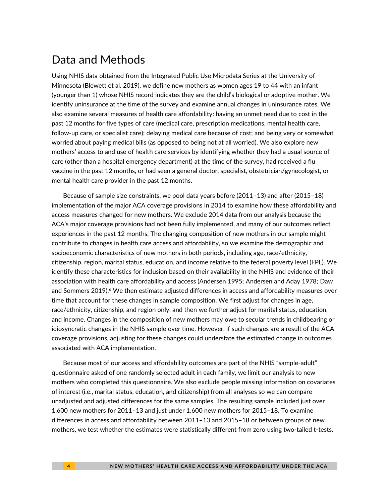### Data and Methods

Using NHIS data obtained from the Integrated Public Use Microdata Series at the University of Minnesota (Blewett et al. 2019), we define new mothers as women ages 19 to 44 with an infant (younger than 1) whose NHIS record indicates they are the child's biological or adoptive mother. We identify uninsurance at the time of the survey and examine annual changes in uninsurance rates. We also examine several measures of health care affordability: having an unmet need due to cost in the past 12 months for five types of care (medical care, prescription medications, mental health care, follow-up care, or specialist care); delaying medical care because of cost; and being very or somewhat worried about paying medical bills (as opposed to being not at all worried). We also explore new mothers' access to and use of health care services by identifying whether they had a usual source of care (other than a hospital emergency department) at the time of the survey, had received a flu vaccine in the past 12 months, or had seen a general doctor, specialist, obstetrician/gynecologist, or mental health care provider in the past 12 months.

Because of sample size constraints, we pool data years before (2011–13) and after (2015–18) implementation of the major ACA coverage provisions in 2014 to examine how these affordability and access measures changed for new mothers. We exclude 2014 data from our analysis because the ACA's major coverage provisions had not been fully implemented, and many of our outcomes reflect experiences in the past 12 months. The changing composition of new mothers in our sample might contribute to changes in health care access and affordability, so we examine the demographic and socioeconomic characteristics of new mothers in both periods, including age, race/ethnicity, citizenship, region, marital status, education, and income relative to the federal poverty level (FPL). We identify these characteristics for inclusion based on their availability in the NHIS and evidence of their association with health care affordability and access (Andersen 1995; Andersen and Aday 1978; Daw and Sommers 2019). $^6$  We then estimate adjusted differences in access and affordability measures over time that account for these changes in sample composition. We first adjust for changes in age, race/ethnicity, citizenship, and region only, and then we further adjust for marital status, education, and income. Changes in the composition of new mothers may owe to secular trends in childbearing or idiosyncratic changes in the NHIS sample over time. However, if such changes are a result of the ACA coverage provisions, adjusting for these changes could understate the estimated change in outcomes associated with ACA implementation.

Because most of our access and affordability outcomes are part of the NHIS "sample-adult" questionnaire asked of one randomly selected adult in each family, we limit our analysis to new mothers who completed this questionnaire. We also exclude people missing information on covariates of interest (i.e., marital status, education, and citizenship) from all analyses so we can compare unadjusted and adjusted differences for the same samples. The resulting sample included just over 1,600 new mothers for 2011–13 and just under 1,600 new mothers for 2015–18. To examine differences in access and affordability between 2011–13 and 2015–18 or between groups of new mothers, we test whether the estimates were statistically different from zero using two-tailed t-tests.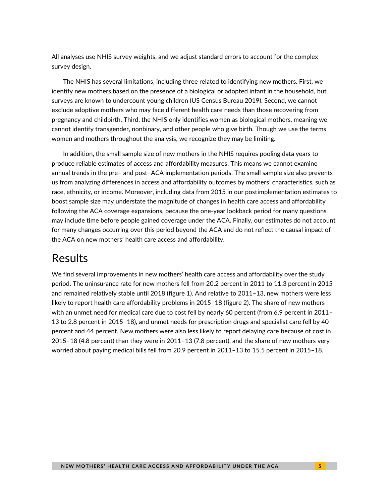All analyses use NHIS survey weights, and we adjust standard errors to account for the complex survey design.

The NHIS has several limitations, including three related to identifying new mothers. First, we identify new mothers based on the presence of a biological or adopted infant in the household, but surveys are known to undercount young children (US Census Bureau 2019). Second, we cannot exclude adoptive mothers who may face different health care needs than those recovering from pregnancy and childbirth. Third, the NHIS only identifies women as biological mothers, meaning we cannot identify transgender, nonbinary, and other people who give birth. Though we use the terms women and mothers throughout the analysis, we recognize they may be limiting.

In addition, the small sample size of new mothers in the NHIS requires pooling data years to produce reliable estimates of access and affordability measures. This means we cannot examine annual trends in the pre– and post–ACA implementation periods. The small sample size also prevents us from analyzing differences in access and affordability outcomes by mothers' characteristics, such as race, ethnicity, or income. Moreover, including data from 2015 in our postimplementation estimates to boost sample size may understate the magnitude of changes in health care access and affordability following the ACA coverage expansions, because the one-year lookback period for many questions may include time before people gained coverage under the ACA. Finally, our estimates do not account for many changes occurring over this period beyond the ACA and do not reflect the causal impact of the ACA on new mothers' health care access and affordability.

### Results

We find several improvements in new mothers' health care access and affordability over the study period. The uninsurance rate for new mothers fell from 20.2 percent in 2011 to 11.3 percent in 2015 and remained relatively stable until 2018 (figure 1). And relative to 2011–13, new mothers were less likely to report health care affordability problems in 2015–18 (figure 2). The share of new mothers with an unmet need for medical care due to cost fell by nearly 60 percent (from 6.9 percent in 2011– 13 to 2.8 percent in 2015–18), and unmet needs for prescription drugs and specialist care fell by 40 percent and 44 percent. New mothers were also less likely to report delaying care because of cost in 2015–18 (4.8 percent) than they were in 2011–13 (7.8 percent), and the share of new mothers very worried about paying medical bills fell from 20.9 percent in 2011–13 to 15.5 percent in 2015–18.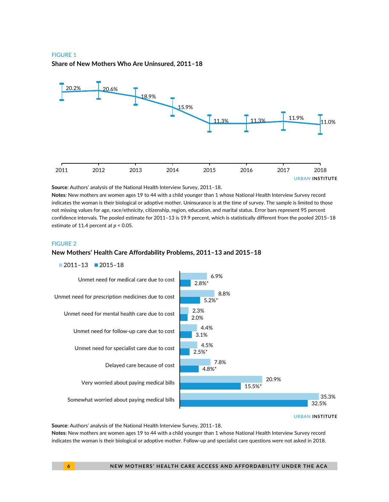#### FIGURE 1

**Share of New Mothers Who Are Uninsured, 2011–18**



**Source**: Authors' analysis of the National Health Interview Survey, 2011–18.

**Notes**: New mothers are women ages 19 to 44 with a child younger than 1 whose National Health Interview Survey record indicates the woman is their biological or adoptive mother. Uninsurance is at the time of survey. The sample is limited to those not missing values for age, race/ethnicity, citizenship, region, education, and marital status. Error bars represent 95 percent confidence intervals. The pooled estimate for 2011–13 is 19.9 percent, which is statistically different from the pooled 2015–18 estimate of 11.4 percent at *p* < 0.05.

#### FIGURE 2

#### **New Mothers' Health Care Affordability Problems, 2011–13 and 2015–18**





URBAN **INSTITUTE**

**Source**: Authors' analysis of the National Health Interview Survey, 2011–18.

**Notes**: New mothers are women ages 19 to 44 with a child younger than 1 whose National Health Interview Survey record indicates the woman is their biological or adoptive mother. Follow-up and specialist care questions were not asked in 2018.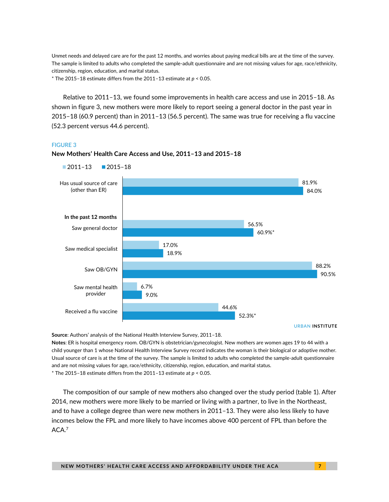Unmet needs and delayed care are for the past 12 months, and worries about paying medical bills are at the time of the survey. The sample is limited to adults who completed the sample-adult questionnaire and are not missing values for age, race/ethnicity, citizenship, region, education, and marital status.

\* The 2015–18 estimate differs from the 2011–13 estimate at *p* < 0.05.

Relative to 2011–13, we found some improvements in health care access and use in 2015–18. As shown in figure 3, new mothers were more likely to report seeing a general doctor in the past year in 2015–18 (60.9 percent) than in 2011–13 (56.5 percent). The same was true for receiving a flu vaccine (52.3 percent versus 44.6 percent).

#### FIGURE 3



**New Mothers' Health Care Access and Use, 2011–13 and 2015–18**

**Source**: Authors' analysis of the National Health Interview Survey, 2011–18.

**Notes**: ER is hospital emergency room. OB/GYN is obstetrician/gynecologist. New mothers are women ages 19 to 44 with a child younger than 1 whose National Health Interview Survey record indicates the woman is their biological or adoptive mother. Usual source of care is at the time of the survey. The sample is limited to adults who completed the sample-adult questionnaire and are not missing values for age, race/ethnicity, citizenship, region, education, and marital status. \* The 2015–18 estimate differs from the 2011–13 estimate at *p* < 0.05.

The composition of our sample of new mothers also changed over the study period (table 1). After 2014, new mothers were more likely to be married or living with a partner, to live in the Northeast, and to have a college degree than were new mothers in 2011–13. They were also less likely to have incomes below the FPL and more likely to have incomes above 400 percent of FPL than before the ACA.<sup>7</sup>

URBAN **INSTITUTE**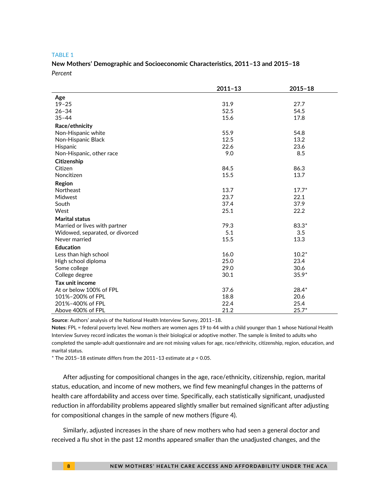#### TABLE 1

### **New Mothers' Demographic and Socioeconomic Characteristics, 2011–13 and 2015–18** *Percent*

|                                 | $2011 - 13$ | $2015 - 18$ |
|---------------------------------|-------------|-------------|
| Age                             |             |             |
| $19 - 25$                       | 31.9        | 27.7        |
| $26 - 34$                       | 52.5        | 54.5        |
| $35 - 44$                       | 15.6        | 17.8        |
| Race/ethnicity                  |             |             |
| Non-Hispanic white              | 55.9        | 54.8        |
| Non-Hispanic Black              | 12.5        | 13.2        |
| Hispanic                        | 22.6        | 23.6        |
| Non-Hispanic, other race        | 9.0         | 8.5         |
| Citizenship                     |             |             |
| Citizen                         | 84.5        | 86.3        |
| Noncitizen                      | 15.5        | 13.7        |
| Region                          |             |             |
| Northeast                       | 13.7        | $17.7*$     |
| Midwest                         | 23.7        | 22.1        |
| South                           | 37.4        | 37.9        |
| West                            | 25.1        | 22.2        |
| <b>Marital status</b>           |             |             |
| Married or lives with partner   | 79.3        | $83.3*$     |
| Widowed, separated, or divorced | 5.1         | 3.5         |
| Never married                   | 15.5        | 13.3        |
| <b>Education</b>                |             |             |
| Less than high school           | 16.0        | $10.2*$     |
| High school diploma             | 25.0        | 23.4        |
| Some college                    | 29.0        | 30.6        |
| College degree                  | 30.1        | $35.9*$     |
| Tax unit income                 |             |             |
| At or below 100% of FPL         | 37.6        | $28.4*$     |
| 101%-200% of FPL                | 18.8        | 20.6        |
| 201%-400% of FPL                | 22.4        | 25.4        |
| Above 400% of FPL               | 21.2        | $25.7*$     |

**Source**: Authors' analysis of the National Health Interview Survey, 2011–18.

**Notes**: FPL = federal poverty level. New mothers are women ages 19 to 44 with a child younger than 1 whose National Health Interview Survey record indicates the woman is their biological or adoptive mother. The sample is limited to adults who completed the sample-adult questionnaire and are not missing values for age, race/ethnicity, citizenship, region, education, and marital status.

\* The 2015–18 estimate differs from the 2011–13 estimate at *p* < 0.05.

After adjusting for compositional changes in the age, race/ethnicity, citizenship, region, marital status, education, and income of new mothers, we find few meaningful changes in the patterns of health care affordability and access over time. Specifically, each statistically significant, unadjusted reduction in affordability problems appeared slightly smaller but remained significant after adjusting for compositional changes in the sample of new mothers (figure 4).

Similarly, adjusted increases in the share of new mothers who had seen a general doctor and received a flu shot in the past 12 months appeared smaller than the unadjusted changes, and the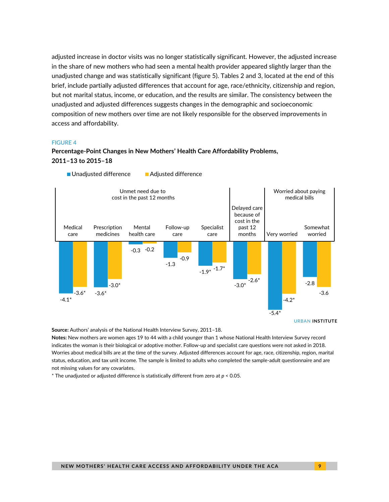adjusted increase in doctor visits was no longer statistically significant. However, the adjusted increase in the share of new mothers who had seen a mental health provider appeared slightly larger than the unadjusted change and was statistically significant (figure 5). Tables 2 and 3, located at the end of this brief, include partially adjusted differences that account for age, race/ethnicity, citizenship and region, but not marital status, income, or education, and the results are similar. The consistency between the unadjusted and adjusted differences suggests changes in the demographic and socioeconomic composition of new mothers over time are not likely responsible for the observed improvements in access and affordability.

#### FIGURE 4

### **Percentage-Point Changes in New Mothers' Health Care Affordability Problems, 2011–13 to 2015–18**



**Source:** Authors' analysis of the National Health Interview Survey, 2011–18.

**Notes:** New mothers are women ages 19 to 44 with a child younger than 1 whose National Health Interview Survey record indicates the woman is their biological or adoptive mother. Follow-up and specialist care questions were not asked in 2018. Worries about medical bills are at the time of the survey. Adjusted differences account for age, race, citizenship, region, marital status, education, and tax unit income. The sample is limited to adults who completed the sample-adult questionnaire and are not missing values for any covariates.

\* The unadjusted or adjusted difference is statistically different from zero at *p* < 0.05.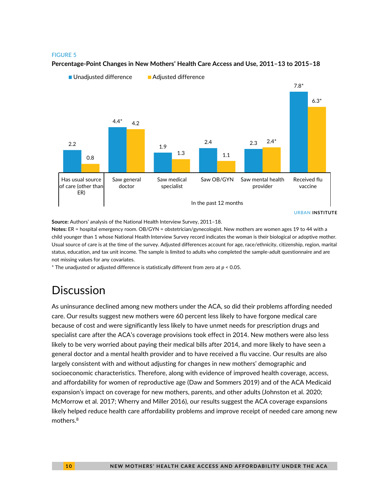#### FIGURE 5



#### **Percentage-Point Changes in New Mothers' Health Care Access and Use, 2011–13 to 2015–18**

**Source:** Authors' analysis of the National Health Interview Survey, 2011–18.

**Notes:** ER = hospital emergency room. OB/GYN = obstetrician/gynecologist. New mothers are women ages 19 to 44 with a child younger than 1 whose National Health Interview Survey record indicates the woman is their biological or adoptive mother. Usual source of care is at the time of the survey. Adjusted differences account for age, race/ethnicity, citizenship, region, marital status, education, and tax unit income. The sample is limited to adults who completed the sample-adult questionnaire and are not missing values for any covariates.

\* The unadjusted or adjusted difference is statistically different from zero at *p* < 0.05.

# **Discussion**

As uninsurance declined among new mothers under the ACA, so did their problems affording needed care. Our results suggest new mothers were 60 percent less likely to have forgone medical care because of cost and were significantly less likely to have unmet needs for prescription drugs and specialist care after the ACA's coverage provisions took effect in 2014. New mothers were also less likely to be very worried about paying their medical bills after 2014, and more likely to have seen a general doctor and a mental health provider and to have received a flu vaccine. Our results are also largely consistent with and without adjusting for changes in new mothers' demographic and socioeconomic characteristics. Therefore, along with evidence of improved health coverage, access, and affordability for women of reproductive age (Daw and Sommers 2019) and of the ACA Medicaid expansion's impact on coverage for new mothers, parents, and other adults (Johnston et al. 2020; McMorrow et al. 2017; Wherry and Miller 2016), our results suggest the ACA coverage expansions likely helped reduce health care affordability problems and improve receipt of needed care among new mothers.<sup>8</sup>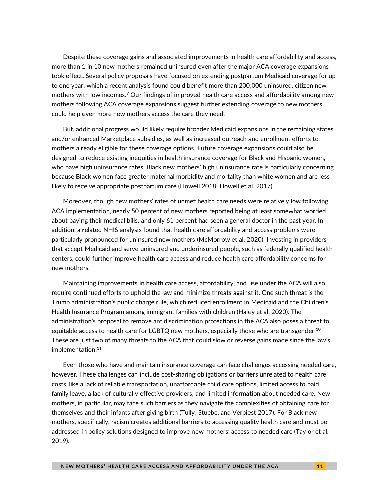Despite these coverage gains and associated improvements in health care affordability and access, more than 1 in 10 new mothers remained uninsured even after the major ACA coverage expansions took effect. Several policy proposals have focused on extending postpartum Medicaid coverage for up to one year, which a recent analysis found could benefit more than 200,000 uninsured, citizen new mothers with low incomes. <sup>9</sup> Our findings of improved health care access and affordability among new mothers following ACA coverage expansions suggest further extending coverage to new mothers could help even more new mothers access the care they need.

But, additional progress would likely require broader Medicaid expansions in the remaining states and/or enhanced Marketplace subsidies, as well as increased outreach and enrollment efforts to mothers already eligible for these coverage options. Future coverage expansions could also be designed to reduce existing inequities in health insurance coverage for Black and Hispanic women, who have high uninsurance rates. Black new mothers' high uninsurance rate is particularly concerning because Black women face greater maternal morbidity and mortality than white women and are less likely to receive appropriate postpartum care (Howell 2018; Howell et al. 2017).

Moreover, though new mothers' rates of unmet health care needs were relatively low following ACA implementation, nearly 50 percent of new mothers reported being at least somewhat worried about paying their medical bills, and only 61 percent had seen a general doctor in the past year. In addition, a related NHIS analysis found that health care affordability and access problems were particularly pronounced for uninsured new mothers (McMorrow et al. 2020). Investing in providers that accept Medicaid and serve uninsured and underinsured people, such as federally qualified health centers, could further improve health care access and reduce health care affordability concerns for new mothers.

Maintaining improvements in health care access, affordability, and use under the ACA will also require continued efforts to uphold the law and minimize threats against it. One such threat is the Trump administration's public charge rule, which reduced enrollment in Medicaid and the Children's Health Insurance Program among immigrant families with children (Haley et al. 2020). The administration's proposal to remove antidiscrimination protections in the ACA also poses a threat to equitable access to health care for LGBTQ new mothers, especially those who are transgender. 10 These are just two of many threats to the ACA that could slow or reverse gains made since the law's implementation.<sup>11</sup>

Even those who have and maintain insurance coverage can face challenges accessing needed care, however. These challenges can include cost-sharing obligations or barriers unrelated to health care costs, like a lack of reliable transportation, unaffordable child care options, limited access to paid family leave, a lack of culturally effective providers, and limited information about needed care. New mothers, in particular, may face such barriers as they navigate the complexities of obtaining care for themselves and their infants after giving birth (Tully, Stuebe, and Verbiest 2017). For Black new mothers, specifically, racism creates additional barriers to accessing quality health care and must be addressed in policy solutions designed to improve new mothers' access to needed care (Taylor et al. 2019).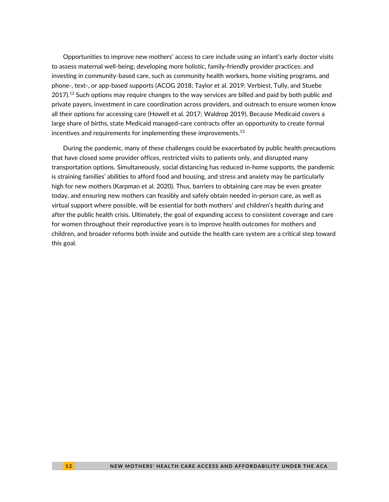Opportunities to improve new mothers' access to care include using an infant's early doctor visits to assess maternal well-being; developing more holistic, family-friendly provider practices; and investing in community-based care, such as community health workers, home visiting programs, and phone-, text-, or app-based supports (ACOG 2018; Taylor et al. 2019; Verbiest, Tully, and Stuebe  $2017$ ).<sup>12</sup> Such options may require changes to the way services are billed and paid by both public and private payers, investment in care coordination across providers, and outreach to ensure women know all their options for accessing care (Howell et al. 2017; Waldrop 2019). Because Medicaid covers a large share of births, state Medicaid managed-care contracts offer an opportunity to create formal incentives and requirements for implementing these improvements. $^{13}$ 

During the pandemic, many of these challenges could be exacerbated by public health precautions that have closed some provider offices, restricted visits to patients only, and disrupted many transportation options. Simultaneously, social distancing has reduced in-home supports, the pandemic is straining families' abilities to afford food and housing, and stress and anxiety may be particularly high for new mothers (Karpman et al. 2020). Thus, barriers to obtaining care may be even greater today, and ensuring new mothers can feasibly and safely obtain needed in-person care, as well as virtual support where possible, will be essential for both mothers' and children's health during and after the public health crisis. Ultimately, the goal of expanding access to consistent coverage and care for women throughout their reproductive years is to improve health outcomes for mothers and children, and broader reforms both inside and outside the health care system are a critical step toward this goal.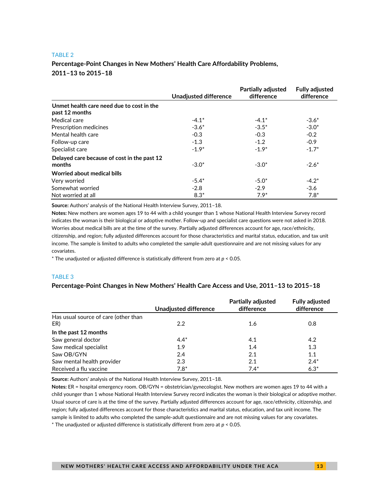#### TABLE 2

### **Percentage-Point Changes in New Mothers' Health Care Affordability Problems, 2011–13 to 2015–18**

|                                             | <b>Unadjusted difference</b> | <b>Partially adjusted</b><br>difference | <b>Fully adjusted</b><br>difference |
|---------------------------------------------|------------------------------|-----------------------------------------|-------------------------------------|
| Unmet health care need due to cost in the   |                              |                                         |                                     |
| past 12 months                              |                              |                                         |                                     |
| Medical care                                | $-4.1*$                      | $-4.1*$                                 | $-3.6*$                             |
| Prescription medicines                      | $-3.6*$                      | $-3.5*$                                 | $-3.0*$                             |
| Mental health care                          | $-0.3$                       | $-0.3$                                  | $-0.2$                              |
| Follow-up care                              | $-1.3$                       | $-1.2$                                  | $-0.9$                              |
| Specialist care                             | $-1.9*$                      | $-1.9*$                                 | $-1.7*$                             |
| Delayed care because of cost in the past 12 |                              |                                         |                                     |
| months                                      | $-3.0*$                      | $-3.0*$                                 | $-2.6*$                             |
| Worried about medical bills                 |                              |                                         |                                     |
| Very worried                                | $-5.4*$                      | $-5.0*$                                 | $-4.2*$                             |
| Somewhat worried                            | $-2.8$                       | $-2.9$                                  | $-3.6$                              |
| Not worried at all                          | $8.3*$                       | $7.9*$                                  | $7.8*$                              |

**Source:** Authors' analysis of the National Health Interview Survey, 2011–18.

**Notes:** New mothers are women ages 19 to 44 with a child younger than 1 whose National Health Interview Survey record indicates the woman is their biological or adoptive mother. Follow-up and specialist care questions were not asked in 2018. Worries about medical bills are at the time of the survey. Partially adjusted differences account for age, race/ethnicity, citizenship, and region; fully adjusted differences account for those characteristics and marital status, education, and tax unit income. The sample is limited to adults who completed the sample-adult questionnaire and are not missing values for any covariates.

\* The unadjusted or adjusted difference is statistically different from zero at *p* < 0.05.

#### TABLE 3

#### **Percentage-Point Changes in New Mothers' Health Care Access and Use, 2011–13 to 2015–18**

|                                      | Unadjusted difference | <b>Partially adjusted</b><br>difference | <b>Fully adjusted</b><br>difference |
|--------------------------------------|-----------------------|-----------------------------------------|-------------------------------------|
| Has usual source of care (other than |                       |                                         |                                     |
| ER)                                  | 2.2                   | 1.6                                     | 0.8                                 |
| In the past 12 months                |                       |                                         |                                     |
| Saw general doctor                   | $4.4*$                | 4.1                                     | 4.2                                 |
| Saw medical specialist               | 1.9                   | 1.4                                     | 1.3                                 |
| Saw OB/GYN                           | 2.4                   | 2.1                                     | 1.1                                 |
| Saw mental health provider           | 2.3                   | 2.1                                     | $2.4*$                              |
| Received a flu vaccine               | $7.8*$                | $7.4*$                                  | $6.3*$                              |

**Source:** Authors' analysis of the National Health Interview Survey, 2011–18.

**Notes:** ER = hospital emergency room. OB/GYN = obstetrician/gynecologist. New mothers are women ages 19 to 44 with a child younger than 1 whose National Health Interview Survey record indicates the woman is their biological or adoptive mother. Usual source of care is at the time of the survey. Partially adjusted differences account for age, race/ethnicity, citizenship, and region; fully adjusted differences account for those characteristics and marital status, education, and tax unit income. The sample is limited to adults who completed the sample-adult questionnaire and are not missing values for any covariates. \* The unadjusted or adjusted difference is statistically different from zero at *p* < 0.05.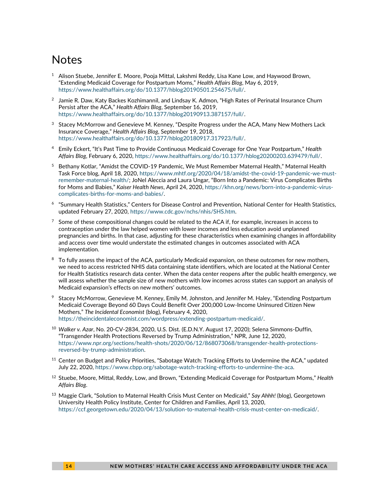## **Notes**

- $1$  Alison Stuebe, Jennifer E. Moore, Pooja Mittal, Lakshmi Reddy, Lisa Kane Low, and Haywood Brown, "Extending Medicaid Coverage for Postpartum Moms," *Health Affairs Blog*, May 6, 2019, [https://www.healthaffairs.org/do/10.1377/hblog20190501.254675/full/.](https://www.healthaffairs.org/do/10.1377/hblog20190501.254675/full/)
- $^2$  Jamie R. Daw, Katy Backes Kozhimannil, and Lindsay K. Admon, "High Rates of Perinatal Insurance Churn Persist after the ACA," *Health Affairs Blog*, September 16, 2019, [https://www.healthaffairs.org/do/10.1377/hblog20190913.387157/full/.](https://www.healthaffairs.org/do/10.1377/hblog20190913.387157/full/)
- <sup>3</sup> Stacey McMorrow and Genevieve M. Kenney, "Despite Progress under the ACA, Many New Mothers Lack Insurance Coverage," *Health Affairs Blog*, September 19, 2018, [https://www.healthaffairs.org/do/10.1377/hblog20180917.317923/full/.](https://www.healthaffairs.org/do/10.1377/hblog20180917.317923/full/)
- <sup>4</sup> Emily Eckert, "It's Past Time to Provide Continuous Medicaid Coverage for One Year Postpartum," *Health Affairs Blog*, February 6, 2020[, https://www.healthaffairs.org/do/10.1377/hblog20200203.639479/full/.](https://www.healthaffairs.org/do/10.1377/hblog20200203.639479/full/)
- <sup>5</sup> Bethany Kotlar, "Amidst the COVID-19 Pandemic, We Must Remember Maternal Health," Maternal Health Task Force blog, April 18, 2020, [https://www.mhtf.org/2020/04/18/amidst-the-covid-19-pandemic-we-must](https://www.mhtf.org/2020/04/18/amidst-the-covid-19-pandemic-we-must-remember-maternal-health/)[remember-maternal-health/;](https://www.mhtf.org/2020/04/18/amidst-the-covid-19-pandemic-we-must-remember-maternal-health/) JoNel Aleccia and Laura Ungar, "Born Into a Pandemic: Virus Complicates Births for Moms and Babies," *Kaiser Health News*, April 24, 2020, [https://khn.org/news/born-into-a-pandemic-virus](https://khn.org/news/born-into-a-pandemic-virus-complicates-births-for-moms-and-babies/)[complicates-births-for-moms-and-babies/.](https://khn.org/news/born-into-a-pandemic-virus-complicates-births-for-moms-and-babies/)
- 6 "Summary Health Statistics," Centers for Disease Control and Prevention, National Center for Health Statistics, updated February 27, 2020, [https://www.cdc.gov/nchs/nhis/SHS.htm.](https://www.cdc.gov/nchs/nhis/SHS.htm)
- $7$  Some of these compositional changes could be related to the ACA if, for example, increases in access to contraception under the law helped women with lower incomes and less education avoid unplanned pregnancies and births. In that case, adjusting for these characteristics when examining changes in affordability and access over time would understate the estimated changes in outcomes associated with ACA implementation.
- <sup>8</sup> To fully assess the impact of the ACA, particularly Medicaid expansion, on these outcomes for new mothers, we need to access restricted NHIS data containing state identifiers, which are located at the National Center for Health Statistics research data center. When the data center reopens after the public health emergency, we will assess whether the sample size of new mothers with low incomes across states can support an analysis of Medicaid expansion's effects on new mothers' outcomes.
- <sup>9</sup> Stacey McMorrow, Genevieve M. Kenney, Emily M. Johnston, and Jennifer M. Haley, "Extending Postpartum Medicaid Coverage Beyond 60 Days Could Benefit Over 200,000 Low-Income Uninsured Citizen New Mothers," *The Incidental Economist* (blog), February 4, 2020, [https://theincidentaleconomist.com/wordpress/extending-postpartum-medicaid/.](https://theincidentaleconomist.com/wordpress/extending-postpartum-medicaid/)
- <sup>10</sup> *Walker v. Azar*, No. 20-CV-2834, 2020, U.S. Dist. (E.D.N.Y. August 17, 2020); Selena Simmons-Duffin, "Transgender Health Protections Reversed by Trump Administration," NPR, June 12, 2020, [https://www.npr.org/sections/health-shots/2020/06/12/868073068/transgender-health-protections](https://www.npr.org/sections/health-shots/2020/06/12/868073068/transgender-health-protections-reversed-by-trump-administration)[reversed-by-trump-administration.](https://www.npr.org/sections/health-shots/2020/06/12/868073068/transgender-health-protections-reversed-by-trump-administration)
- $11$  Center on Budget and Policy Priorities, "Sabotage Watch: Tracking Efforts to Undermine the ACA," updated July 22, 2020, [https://www.cbpp.org/sabotage-watch-tracking-efforts-to-undermine-the-aca.](https://www.cbpp.org/sabotage-watch-tracking-efforts-to-undermine-the-aca)
- <sup>12</sup> Stuebe, Moore, Mittal, Reddy, Low, and Brown, "Extending Medicaid Coverage for Postpartum Moms," *Health Affairs Blog*.
- <sup>13</sup> Maggie Clark, "Solution to Maternal Health Crisis Must Center on Medicaid," *Say Ahhh!* (blog), Georgetown University Health Policy Institute, Center for Children and Families, April 13, 2020, [https://ccf.georgetown.edu/2020/04/13/solution-to-maternal-health-crisis-must-center-on-medicaid/.](https://ccf.georgetown.edu/2020/04/13/solution-to-maternal-health-crisis-must-center-on-medicaid/)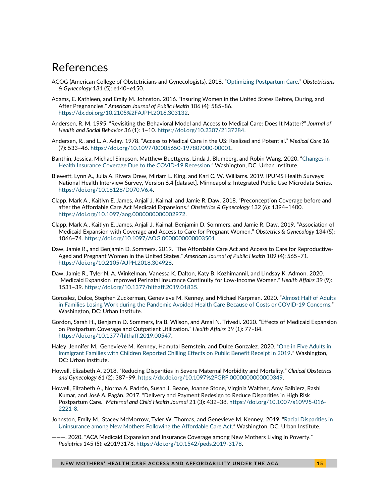### References

- ACOG (American College of Obstetricians and Gynecologists). 2018. "[Optimizing Postpartum Care.](https://www.acog.org/-/media/project/acog/acogorg/clinical/files/committee-opinion/articles/2018/05/optimizing-postpartum-care.pdf)" *Obstetricians & Gynecology* 131 (5): e140–e150.
- Adams, E. Kathleen, and Emily M. Johnston. 2016. "Insuring Women in the United States Before, During, and After Pregnancies." *American Journal of Public Health* 106 (4): 585–86. [https://dx.doi.org/10.2105%2FAJPH.2016.303132.](https://dx.doi.org/10.2105%2FAJPH.2016.303132)
- Andersen, R. M. 1995. "Revisiting the Behavioral Model and Access to Medical Care: Does It Matter?" *Journal of Health and Social Behavior* 36 (1): 1–10. [https://doi.org/10.2307/2137284.](https://doi.org/10.2307/2137284)
- Andersen, R., and L. A. Aday. 1978. "Access to Medical Care in the US: Realized and Potential." *Medical Care* 16 (7): 533–46. [https://doi.org/10.1097/00005650-197807000-00001.](https://doi.org/10.1097/00005650-197807000-00001)
- Banthin, Jessica, Michael Simpson, Matthew Buettgens, Linda J. Blumberg, and Robin Wang. 2020. "[Changes in](https://www.urban.org/research/publication/changes-health-insurance-coverage-due-covid-19-recession)  [Health Insurance Coverage Due to the COVID-19 Recession](https://www.urban.org/research/publication/changes-health-insurance-coverage-due-covid-19-recession)." Washington, DC: Urban Institute.
- Blewett, Lynn A., Julia A. Rivera Drew, Miriam L. King, and Kari C. W. Williams. 2019. IPUMS Health Surveys: National Health Interview Survey, Version 6.4 [dataset]. Minneapolis: Integrated Public Use Microdata Series. [https://doi.org/10.18128/D070.V6.4.](https://doi.org/10.18128/D070.V6.4)
- Clapp, Mark A., Kaitlyn E. James, Anjali J. Kaimal, and Jamie R. Daw. 2018. "Preconception Coverage before and after the Affordable Care Act Medicaid Expansions." *Obstetrics & Gynecology* 132 (6): 1394–1400. [https://doi.org/10.1097/aog.0000000000002972.](https://doi.org/10.1097/aog.0000000000002972)
- Clapp, Mark A., Kaitlyn E. James, Anjali J. Kaimal, Benjamin D. Sommers, and Jamie R. Daw. 2019. "Association of Medicaid Expansion with Coverage and Access to Care for Pregnant Women." *Obstetrics & Gynecology* 134 (5): 1066–74. [https://doi.org/10.1097/AOG.0000000000003501.](about:blank)
- Daw, Jamie R., and Benjamin D. Sommers. 2019. "The Affordable Care Act and Access to Care for Reproductive-Aged and Pregnant Women in the United States." *American Journal of Public Health* 109 (4): 565–71. [https://doi.org/10.2105/AJPH.2018.304928.](https://doi.org/10.2105/AJPH.2018.304928)
- Daw, Jamie R., Tyler N. A. Winkelman, Vanessa K. Dalton, Katy B. Kozhimannil, and Lindsay K. Admon. 2020. "Medicaid Expansion Improved Perinatal Insurance Continuity for Low-Income Women." *Health Affairs* 39 (9): 1531–39. [https://doi.org/10.1377/hlthaff.2019.01835.](https://doi.org/10.1377/hlthaff.2019.01835)
- Gonzalez, Dulce, Stephen Zuckerman, Genevieve M. Kenney, and Michael Karpman. 2020. "[Almost Half of Adults](https://www.urban.org/research/publication/almost-half-adults-families-losing-work-during-pandemic-avoided-health-care-because-costs-or-covid-19-concerns)  [in Families Losing Work during the Pandemic Avoided Health Care Because of Costs or COVID-19 Concerns](https://www.urban.org/research/publication/almost-half-adults-families-losing-work-during-pandemic-avoided-health-care-because-costs-or-covid-19-concerns)." Washington, DC: Urban Institute.
- Gordon, Sarah H., Benjamin D. Sommers, Ira B. Wilson, and Amal N. Trivedi. 2020. "Effects of Medicaid Expansion on Postpartum Coverage and Outpatient Utilization." *Health Affairs* 39 (1): 77–84. [https://doi.org/10.1377/hlthaff.2019.00547.](https://doi.org/10.1377/hlthaff.2019.00547)
- Haley, Jennifer M., Genevieve M. Kenney, Hamutal Bernstein, and Dulce Gonzalez. 2020. "[One in Five Adults in](http://www.urban.org/research/publication/one-five-adults-immigrant-families-children-reported-chilling-effects-public-benefit-receipt-2019)  [Immigrant Families with Children Reported Chilling Effects on Public Benefit Receipt in 2019](http://www.urban.org/research/publication/one-five-adults-immigrant-families-children-reported-chilling-effects-public-benefit-receipt-2019)." Washington, DC: Urban Institute.
- Howell, Elizabeth A. 2018. "Reducing Disparities in Severe Maternal Morbidity and Mortality." *Clinical Obstetrics and Gynecology* 61 (2): 387–99. [https://dx.doi.org/10.1097%2FGRF.0000000000000349.](https://dx.doi.org/10.1097%2FGRF.0000000000000349)
- Howell, Elizabeth A., Norma A. Padrón, Susan J. Beane, Joanne Stone, Virginia Walther, Amy Balbierz, Rashi Kumar, and José A. Pagán. 2017. "Delivery and Payment Redesign to Reduce Disparities in High Risk Postpartum Care." *Maternal and Child Health Journal* 21 (3): 432–38. [https://doi.org/10.1007/s10995-016-](https://doi.org/10.1007/s10995-016-2221-8) [2221-8.](https://doi.org/10.1007/s10995-016-2221-8)
- Johnston, Emily M., Stacey McMorrow, Tyler W. Thomas, and Genevieve M. Kenney. 2019. "[Racial Disparities in](https://www.urban.org/research/publication/racial-disparities-uninsurance-among-new-mothers-following-affordable-care-act)  [Uninsurance among New Mothers Following the Affordable Care Act](https://www.urban.org/research/publication/racial-disparities-uninsurance-among-new-mothers-following-affordable-care-act)." Washington, DC: Urban Institute.
- ———. 2020. "ACA Medicaid Expansion and Insurance Coverage among New Mothers Living in Poverty." *Pediatrics* 145 (5): e20193178. [https://doi.org/10.1542/peds.2019-3178.](https://doi.org/10.1542/peds.2019-3178)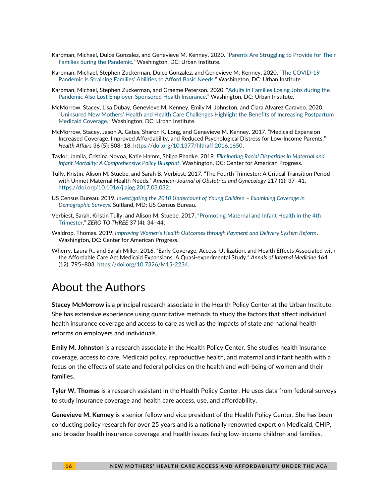- Karpman, Michael, Dulce Gonzalez, and Genevieve M. Kenney. 2020. "[Parents Are Struggling to Provide for Their](https://www.urban.org/research/publication/parents-are-struggling-provide-their-families-during-pandemic)  [Families during the Pandemic](https://www.urban.org/research/publication/parents-are-struggling-provide-their-families-during-pandemic)." Washington, DC: Urban Institute.
- Karpman, Michael, Stephen Zuckerman, Dulce Gonzalez, and Genevieve M. Kenney. 2020. "[The COVID-19](https://www.urban.org/research/publication/covid-19-pandemic-straining-families-abilities-afford-basic-needs)  Pandemic I[s Straining Families' Abilit](https://www.urban.org/research/publication/covid-19-pandemic-straining-families-abilities-afford-basic-needs)ies to Afford Basic Needs." Washington, DC: Urban Institute.
- Karpman, Michael, Stephen Zuckerman, and Graeme Peterson. 2020. "[Adults in Families Losing Jobs during the](https://www.urban.org/research/publication/adults-families-losing-jobs-during-pandemic-also-lost-employer-sponsored-health-insurance)  [Pandemic Also Lost Employer-Sponsored Health Insurance](https://www.urban.org/research/publication/adults-families-losing-jobs-during-pandemic-also-lost-employer-sponsored-health-insurance)." Washington, DC: Urban Institute.
- McMorrow, Stacey, Lisa Dubay, Genevieve M. Kenney, Emily M. Johnston, and Clara Alvarez Caraveo. 2020. ["Uninsured New Mothers' Health and Health Care Challenges Highlight the Benefits of Increasing Postpartu](https://www.urban.org/research/publication/uninsured-new-mothers-health-and-health-care-challenges-highlight-benefits-increasing-postpartum-medicaid-coverage.)m [Medicaid Coverage](https://www.urban.org/research/publication/uninsured-new-mothers-health-and-health-care-challenges-highlight-benefits-increasing-postpartum-medicaid-coverage.)." Washington, DC: Urban Institute.
- McMorrow, Stacey, Jason A. Gates, Sharon K. Long, and Genevieve M. Kenney. 2017. "Medicaid Expansion Increased Coverage, Improved Affordability, and Reduced Psychological Distress for Low-Income Parents." *Health Affairs* 36 (5): 808–18[. https://doi.org/10.1377/hlthaff.2016.1650.](https://doi.org/10.1377/hlthaff.2016.1650)
- Taylor, Jamila, Cristina Novoa, Katie Hamm, Shilpa Phadke. 2019. *[Eliminating Racial Disparities in Maternal and](https://www.americanprogress.org/issues/women/reports/2019/05/02/469186/eliminating-racial-disparities-maternal-infant-mortality/)  Infant Mortality: A [Comprehensive Policy Blueprint](https://www.americanprogress.org/issues/women/reports/2019/05/02/469186/eliminating-racial-disparities-maternal-infant-mortality/)*. Washington, DC: Center for American Progress.
- Tully, Kristin, Alison M. Stuebe, and Sarah B. Verbiest. 2017. "The Fourth Trimester: A Critical Transition Period with Unmet Maternal Health Needs." *American Journal of Obstetrics and Gynecology* 217 (1): 37–41. [https://doi.org/10.1016/j.ajog.2017.03.032.](https://doi.org/10.1016/j.ajog.2017.03.032)
- US Census Bureau. 2019. *[Investigating the 2010 Undercount of Young Children](https://www.census.gov/programs-surveys/decennial-census/2020-census/planning-management/final-analysis/2020-report-2010-undercount-children-examining-coverage-demo-surveys.html) – Examining Coverage in [Demographic Surveys](https://www.census.gov/programs-surveys/decennial-census/2020-census/planning-management/final-analysis/2020-report-2010-undercount-children-examining-coverage-demo-surveys.html)*. Suitland, MD: US Census Bureau.
- Verbiest, Sarah, Kristin Tully, and Alison M. Stuebe. 2017. "[Promoting Maternal and Infant Health in the 4th](https://4thtrimester.web.unc.edu/files/2017/06/ZERO-TO-THREE-Journal.pdf)  [Trimester.](https://4thtrimester.web.unc.edu/files/2017/06/ZERO-TO-THREE-Journal.pdf)" *ZERO TO THREE* 37 (4): 34–44.
- Waldrop, Thomas. 2019. *Improving Women's Health Outcomes [through Payment and Delivery System Reform](https://www.americanprogress.org/issues/healthcare/reports/2019/06/28/471445/improving-womens-health-outcomes-payment-delivery-system-reform/)*. Washington, DC: Center for American Progress.
- Wherry, Laura R., and Sarah Miller. 2016. "Early Coverage, Access, Utilization, and Health Effects Associated with the Affordable Care Act Medicaid Expansions: A Quasi-experimental Study." *Annals of Internal Medicine* 164 (12): 795–803. [https://doi.org/10.7326/M15-2234.](https://doi.org/10.7326/M15-2234)

### About the Authors

**Stacey McMorrow** is a principal research associate in the Health Policy Center at the Urban Institute. She has extensive experience using quantitative methods to study the factors that affect individual health insurance coverage and access to care as well as the impacts of state and national health reforms on employers and individuals.

**Emily M. Johnston** is a research associate in the Health Policy Center. She studies health insurance coverage, access to care, Medicaid policy, reproductive health, and maternal and infant health with a focus on the effects of state and federal policies on the health and well-being of women and their families.

**Tyler W. Thomas** is a research assistant in the Health Policy Center. He uses data from federal surveys to study insurance coverage and health care access, use, and affordability.

**Genevieve M. Kenney** is a senior fellow and vice president of the Health Policy Center. She has been conducting policy research for over 25 years and is a nationally renowned expert on Medicaid, CHIP, and broader health insurance coverage and health issues facing low-income children and families.